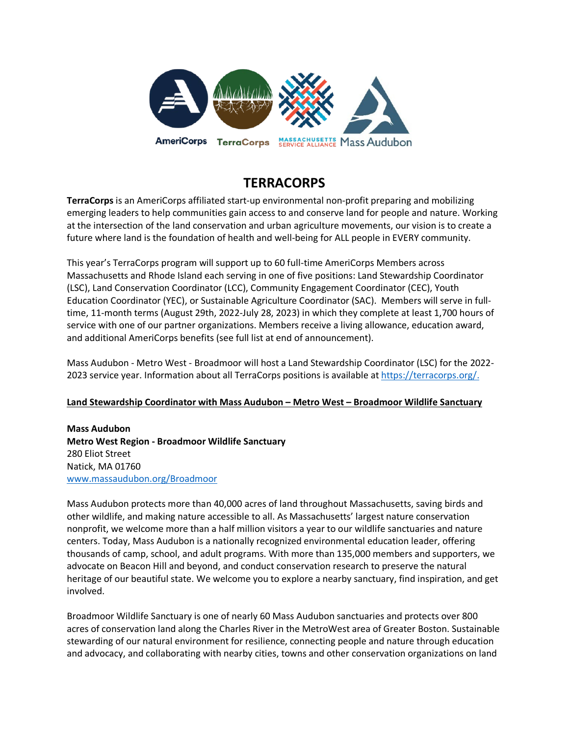

# **TERRACORPS**

**TerraCorps** is an AmeriCorps affiliated start-up environmental non-profit preparing and mobilizing emerging leaders to help communities gain access to and conserve land for people and nature. Working at the intersection of the land conservation and urban agriculture movements, our vision is to create a future where land is the foundation of health and well-being for ALL people in EVERY community.

This year's TerraCorps program will support up to 60 full-time AmeriCorps Members across Massachusetts and Rhode Island each serving in one of five positions: Land Stewardship Coordinator (LSC), Land Conservation Coordinator (LCC), Community Engagement Coordinator (CEC), Youth Education Coordinator (YEC), or Sustainable Agriculture Coordinator (SAC). Members will serve in fulltime, 11-month terms (August 29th, 2022-July 28, 2023) in which they complete at least 1,700 hours of service with one of our partner organizations. Members receive a living allowance, education award, and additional AmeriCorps benefits (see full list at end of announcement).

Mass Audubon - Metro West - Broadmoor will host a Land Stewardship Coordinator (LSC) for the 2022- 2023 service year. Information about all TerraCorps positions is available a[t https://terracorps.org/.](https://terracorps.org/)

# **Land Stewardship Coordinator with Mass Audubon – Metro West – Broadmoor Wildlife Sanctuary**

**Mass Audubon Metro West Region - Broadmoor Wildlife Sanctuary** 280 Eliot Street Natick, MA 01760 [www.massaudubon.org/Broadmoor](http://www.massaudubon.org/Broadmoor)

Mass Audubon protects more than 40,000 acres of land throughout Massachusetts, saving birds and other wildlife, and making nature accessible to all. As Massachusetts' largest nature conservation nonprofit, we welcome more than a half million visitors a year to our wildlife sanctuaries and nature centers. Today, Mass Audubon is a nationally recognized environmental education leader, offering thousands of camp, school, and adult programs. With more than 135,000 members and supporters, we advocate on Beacon Hill and beyond, and conduct conservation research to preserve the natural heritage of our beautiful state. We welcome you to explore a nearby sanctuary, find inspiration, and get involved.

Broadmoor Wildlife Sanctuary is one of nearly 60 Mass Audubon sanctuaries and protects over 800 acres of conservation land along the Charles River in the MetroWest area of Greater Boston. Sustainable stewarding of our natural environment for resilience, connecting people and nature through education and advocacy, and collaborating with nearby cities, towns and other conservation organizations on land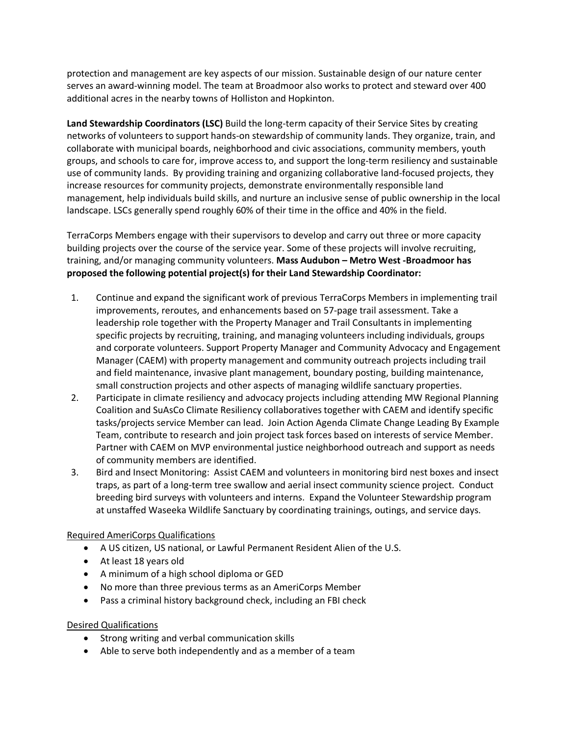protection and management are key aspects of our mission. Sustainable design of our nature center serves an award-winning model. The team at Broadmoor also works to protect and steward over 400 additional acres in the nearby towns of Holliston and Hopkinton.

**Land Stewardship Coordinators (LSC)** Build the long-term capacity of their Service Sites by creating networks of volunteers to support hands-on stewardship of community lands. They organize, train, and collaborate with municipal boards, neighborhood and civic associations, community members, youth groups, and schools to care for, improve access to, and support the long-term resiliency and sustainable use of community lands. By providing training and organizing collaborative land-focused projects, they increase resources for community projects, demonstrate environmentally responsible land management, help individuals build skills, and nurture an inclusive sense of public ownership in the local landscape. LSCs generally spend roughly 60% of their time in the office and 40% in the field.

TerraCorps Members engage with their supervisors to develop and carry out three or more capacity building projects over the course of the service year. Some of these projects will involve recruiting, training, and/or managing community volunteers. **Mass Audubon – Metro West -Broadmoor has proposed the following potential project(s) for their Land Stewardship Coordinator:**

- 1. Continue and expand the significant work of previous TerraCorps Members in implementing trail improvements, reroutes, and enhancements based on 57-page trail assessment. Take a leadership role together with the Property Manager and Trail Consultants in implementing specific projects by recruiting, training, and managing volunteers including individuals, groups and corporate volunteers. Support Property Manager and Community Advocacy and Engagement Manager (CAEM) with property management and community outreach projects including trail and field maintenance, invasive plant management, boundary posting, building maintenance, small construction projects and other aspects of managing wildlife sanctuary properties.
- 2. Participate in climate resiliency and advocacy projects including attending MW Regional Planning Coalition and SuAsCo Climate Resiliency collaboratives together with CAEM and identify specific tasks/projects service Member can lead. Join Action Agenda Climate Change Leading By Example Team, contribute to research and join project task forces based on interests of service Member. Partner with CAEM on MVP environmental justice neighborhood outreach and support as needs of community members are identified.
- 3. Bird and Insect Monitoring: Assist CAEM and volunteers in monitoring bird nest boxes and insect traps, as part of a long-term tree swallow and aerial insect community science project. Conduct breeding bird surveys with volunteers and interns. Expand the Volunteer Stewardship program at unstaffed Waseeka Wildlife Sanctuary by coordinating trainings, outings, and service days.

# Required AmeriCorps Qualifications

- A US citizen, US national, or Lawful Permanent Resident Alien of the U.S.
- At least 18 years old
- A minimum of a high school diploma or GED
- No more than three previous terms as an AmeriCorps Member
- Pass a criminal history background check, including an FBI check

#### Desired Qualifications

- Strong writing and verbal communication skills
- Able to serve both independently and as a member of a team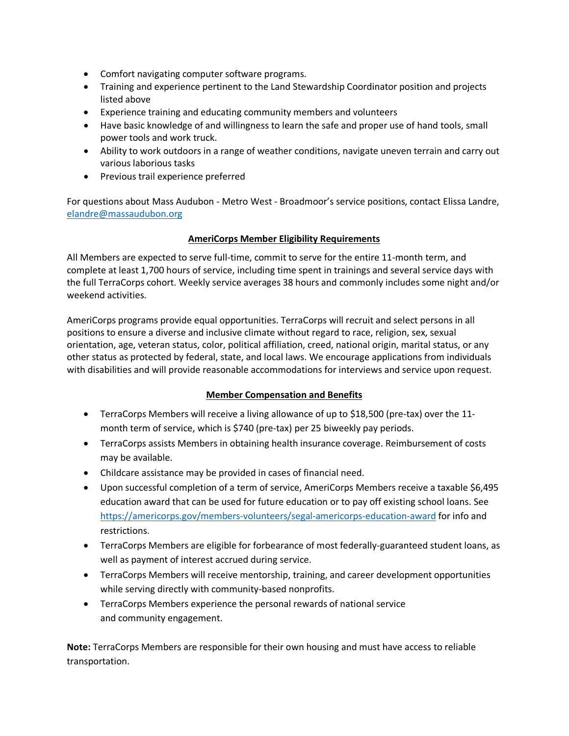- Comfort navigating computer software programs.
- Training and experience pertinent to the Land Stewardship Coordinator position and projects listed above
- Experience training and educating community members and volunteers
- Have basic knowledge of and willingness to learn the safe and proper use of hand tools, small power tools and work truck.
- Ability to work outdoors in a range of weather conditions, navigate uneven terrain and carry out various laborious tasks
- Previous trail experience preferred

For questions about Mass Audubon - Metro West - Broadmoor's service positions, contact Elissa Landre, [elandre@massaudubon.org](mailto:elandre@massaudubon.org)

# **AmeriCorps Member Eligibility Requirements**

All Members are expected to serve full-time, commit to serve for the entire 11-month term, and complete at least 1,700 hours of service, including time spent in trainings and several service days with the full TerraCorps cohort. Weekly service averages 38 hours and commonly includes some night and/or weekend activities.

AmeriCorps programs provide equal opportunities. TerraCorps will recruit and select persons in all positions to ensure a diverse and inclusive climate without regard to race, religion, sex, sexual orientation, age, veteran status, color, political affiliation, creed, national origin, marital status, or any other status as protected by federal, state, and local laws. We encourage applications from individuals with disabilities and will provide reasonable accommodations for interviews and service upon request.

# **Member Compensation and Benefits**

- TerraCorps Members will receive a living allowance of up to \$18,500 (pre-tax) over the 11 month term of service, which is \$740 (pre-tax) per 25 biweekly pay periods.
- TerraCorps assists Members in obtaining health insurance coverage. Reimbursement of costs may be available.
- Childcare assistance may be provided in cases of financial need.
- Upon successful completion of a term of service, AmeriCorps Members receive a taxable \$6,495 education award that can be used for future education or to pay off existing school loans. See <https://americorps.gov/members-volunteers/segal-americorps-education-award> for info and restrictions.
- TerraCorps Members are eligible for forbearance of most federally-guaranteed student loans, as well as payment of interest accrued during service.
- TerraCorps Members will receive mentorship, training, and career development opportunities while serving directly with community-based nonprofits.
- TerraCorps Members experience the personal rewards of national service and community engagement.

**Note:** TerraCorps Members are responsible for their own housing and must have access to reliable transportation.